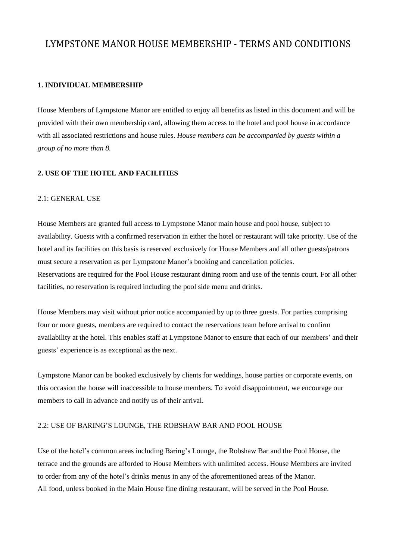# LYMPSTONE MANOR HOUSE MEMBERSHIP - TERMS AND CONDITIONS

# **1. INDIVIDUAL MEMBERSHIP**

House Members of Lympstone Manor are entitled to enjoy all benefits as listed in this document and will be provided with their own membership card, allowing them access to the hotel and pool house in accordance with all associated restrictions and house rules. *House members can be accompanied by guests within a group of no more than 8.*

# **2. USE OF THE HOTEL AND FACILITIES**

#### 2.1: GENERAL USE

House Members are granted full access to Lympstone Manor main house and pool house, subject to availability. Guests with a confirmed reservation in either the hotel or restaurant will take priority. Use of the hotel and its facilities on this basis is reserved exclusively for House Members and all other guests/patrons must secure a reservation as per Lympstone Manor's booking and cancellation policies. Reservations are required for the Pool House restaurant dining room and use of the tennis court. For all other facilities, no reservation is required including the pool side menu and drinks.

House Members may visit without prior notice accompanied by up to three guests. For parties comprising four or more guests, members are required to contact the reservations team before arrival to confirm availability at the hotel. This enables staff at Lympstone Manor to ensure that each of our members' and their guests' experience is as exceptional as the next.

Lympstone Manor can be booked exclusively by clients for weddings, house parties or corporate events, on this occasion the house will inaccessible to house members. To avoid disappointment, we encourage our members to call in advance and notify us of their arrival.

#### 2.2: USE OF BARING'S LOUNGE, THE ROBSHAW BAR AND POOL HOUSE

Use of the hotel's common areas including Baring's Lounge, the Robshaw Bar and the Pool House, the terrace and the grounds are afforded to House Members with unlimited access. House Members are invited to order from any of the hotel's drinks menus in any of the aforementioned areas of the Manor. All food, unless booked in the Main House fine dining restaurant, will be served in the Pool House.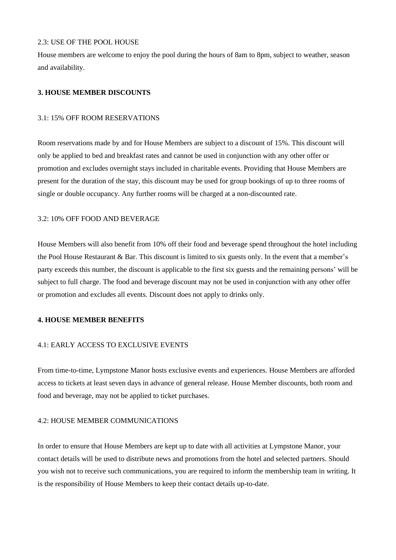### 2.3: USE OF THE POOL HOUSE

House members are welcome to enjoy the pool during the hours of 8am to 8pm, subject to weather, season and availability.

### **3. HOUSE MEMBER DISCOUNTS**

### 3.1: 15% OFF ROOM RESERVATIONS

Room reservations made by and for House Members are subject to a discount of 15%. This discount will only be applied to bed and breakfast rates and cannot be used in conjunction with any other offer or promotion and excludes overnight stays included in charitable events. Providing that House Members are present for the duration of the stay, this discount may be used for group bookings of up to three rooms of single or double occupancy. Any further rooms will be charged at a non-discounted rate.

### 3.2: 10% OFF FOOD AND BEVERAGE

House Members will also benefit from 10% off their food and beverage spend throughout the hotel including the Pool House Restaurant & Bar. This discount is limited to six guests only. In the event that a member's party exceeds this number, the discount is applicable to the first six guests and the remaining persons' will be subject to full charge. The food and beverage discount may not be used in conjunction with any other offer or promotion and excludes all events. Discount does not apply to drinks only.

### **4. HOUSE MEMBER BENEFITS**

# 4.1: EARLY ACCESS TO EXCLUSIVE EVENTS

From time-to-time, Lympstone Manor hosts exclusive events and experiences. House Members are afforded access to tickets at least seven days in advance of general release. House Member discounts, both room and food and beverage, may not be applied to ticket purchases.

## 4.2: HOUSE MEMBER COMMUNICATIONS

In order to ensure that House Members are kept up to date with all activities at Lympstone Manor, your contact details will be used to distribute news and promotions from the hotel and selected partners. Should you wish not to receive such communications, you are required to inform the membership team in writing. It is the responsibility of House Members to keep their contact details up-to-date.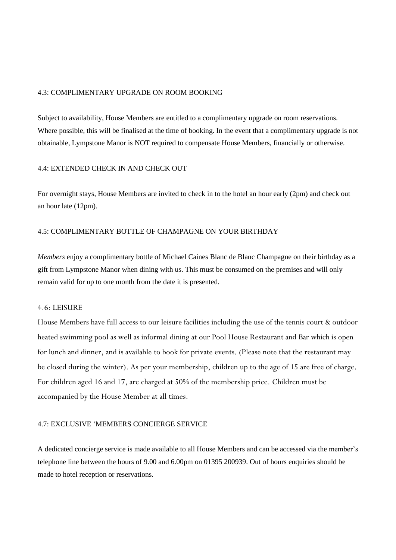### 4.3: COMPLIMENTARY UPGRADE ON ROOM BOOKING

Subject to availability, House Members are entitled to a complimentary upgrade on room reservations. Where possible, this will be finalised at the time of booking. In the event that a complimentary upgrade is not obtainable, Lympstone Manor is NOT required to compensate House Members, financially or otherwise.

### 4.4: EXTENDED CHECK IN AND CHECK OUT

For overnight stays, House Members are invited to check in to the hotel an hour early (2pm) and check out an hour late (12pm).

### 4.5: COMPLIMENTARY BOTTLE OF CHAMPAGNE ON YOUR BIRTHDAY

*Members* enjoy a complimentary bottle of Michael Caines Blanc de Blanc Champagne on their birthday as a gift from Lympstone Manor when dining with us. This must be consumed on the premises and will only remain valid for up to one month from the date it is presented.

### 4.6: LEISURE

House Members have full access to our leisure facilities including the use of the tennis court & outdoor heated swimming pool as well as informal dining at our Pool House Restaurant and Bar which is open for lunch and dinner, and is available to book for private events. (Please note that the restaurant may be closed during the winter). As per your membership, children up to the age of 15 are free of charge. For children aged 16 and 17, are charged at 50% of the membership price. Children must be accompanied by the House Member at all times.

#### 4.7: EXCLUSIVE 'MEMBERS CONCIERGE SERVICE

A dedicated concierge service is made available to all House Members and can be accessed via the member's telephone line between the hours of 9.00 and 6.00pm on 01395 200939. Out of hours enquiries should be made to hotel reception or reservations.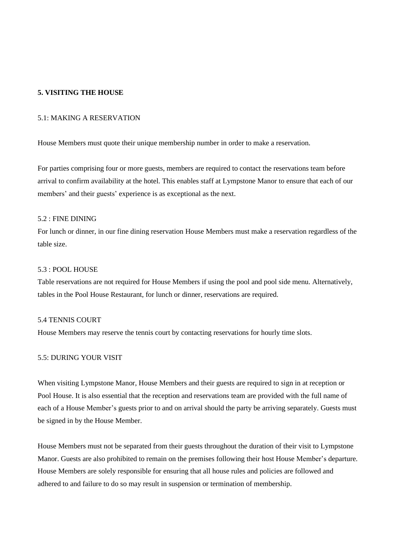# **5. VISITING THE HOUSE**

#### 5.1: MAKING A RESERVATION

House Members must quote their unique membership number in order to make a reservation.

For parties comprising four or more guests, members are required to contact the reservations team before arrival to confirm availability at the hotel. This enables staff at Lympstone Manor to ensure that each of our members' and their guests' experience is as exceptional as the next.

### $5.2 \cdot$  FINE DINING

For lunch or dinner, in our fine dining reservation House Members must make a reservation regardless of the table size.

### 5.3 : POOL HOUSE

Table reservations are not required for House Members if using the pool and pool side menu. Alternatively, tables in the Pool House Restaurant, for lunch or dinner, reservations are required.

### 5.4 TENNIS COURT

House Members may reserve the tennis court by contacting reservations for hourly time slots.

### 5.5: DURING YOUR VISIT

When visiting Lympstone Manor, House Members and their guests are required to sign in at reception or Pool House. It is also essential that the reception and reservations team are provided with the full name of each of a House Member's guests prior to and on arrival should the party be arriving separately. Guests must be signed in by the House Member.

House Members must not be separated from their guests throughout the duration of their visit to Lympstone Manor. Guests are also prohibited to remain on the premises following their host House Member's departure. House Members are solely responsible for ensuring that all house rules and policies are followed and adhered to and failure to do so may result in suspension or termination of membership.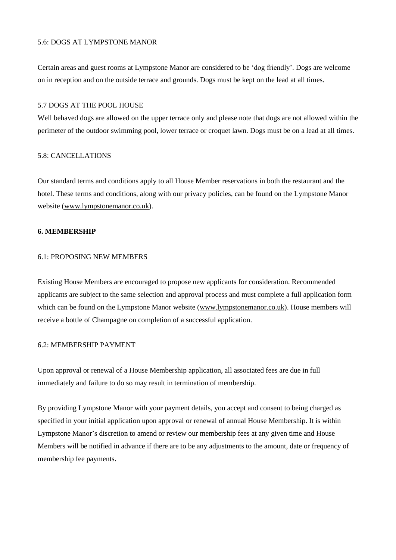### 5.6: DOGS AT LYMPSTONE MANOR

Certain areas and guest rooms at Lympstone Manor are considered to be 'dog friendly'. Dogs are welcome on in reception and on the outside terrace and grounds. Dogs must be kept on the lead at all times.

#### 5.7 DOGS AT THE POOL HOUSE

Well behaved dogs are allowed on the upper terrace only and please note that dogs are not allowed within the perimeter of the outdoor swimming pool, lower terrace or croquet lawn. Dogs must be on a lead at all times.

#### 5.8: CANCELLATIONS

Our standard terms and conditions apply to all House Member reservations in both the restaurant and the hotel. These terms and conditions, along with our privacy policies, can be found on the Lympstone Manor website [\(www.lympstonemanor.co.uk\)](http://www.lympstonemanor.co.uk/).

### **6. MEMBERSHIP**

#### 6.1: PROPOSING NEW MEMBERS

Existing House Members are encouraged to propose new applicants for consideration. Recommended applicants are subject to the same selection and approval process and must complete a full application form which can be found on the Lympstone Manor website [\(www.lympstonemanor.co.uk\)](http://www.lympstonemanor.co.uk/). House members will receive a bottle of Champagne on completion of a successful application.

### 6.2: MEMBERSHIP PAYMENT

Upon approval or renewal of a House Membership application, all associated fees are due in full immediately and failure to do so may result in termination of membership.

By providing Lympstone Manor with your payment details, you accept and consent to being charged as specified in your initial application upon approval or renewal of annual House Membership. It is within Lympstone Manor's discretion to amend or review our membership fees at any given time and House Members will be notified in advance if there are to be any adjustments to the amount, date or frequency of membership fee payments.